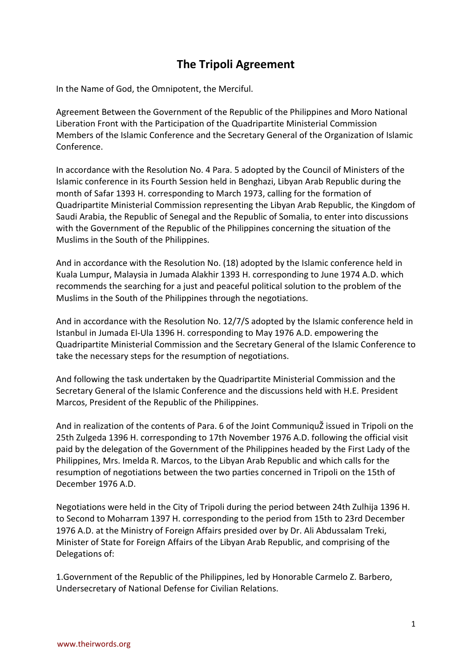## **The Tripoli Agreement**

In the Name of God, the Omnipotent, the Merciful.

Agreement Between the Government of the Republic of the Philippines and Moro National Liberation Front with the Participation of the Quadripartite Ministerial Commission Members of the Islamic Conference and the Secretary General of the Organization of Islamic Conference.

In accordance with the Resolution No. 4 Para. 5 adopted by the Council of Ministers of the Islamic conference in its Fourth Session held in Benghazi, Libyan Arab Republic during the month of Safar 1393 H. corresponding to March 1973, calling for the formation of Quadripartite Ministerial Commission representing the Libyan Arab Republic, the Kingdom of Saudi Arabia, the Republic of Senegal and the Republic of Somalia, to enter into discussions with the Government of the Republic of the Philippines concerning the situation of the Muslims in the South of the Philippines.

And in accordance with the Resolution No. (18) adopted by the Islamic conference held in Kuala Lumpur, Malaysia in Jumada Alakhir 1393 H. corresponding to June 1974 A.D. which recommends the searching for a just and peaceful political solution to the problem of the Muslims in the South of the Philippines through the negotiations.

And in accordance with the Resolution No. 12/7/S adopted by the Islamic conference held in Istanbul in Jumada El-Ula 1396 H. corresponding to May 1976 A.D. empowering the Quadripartite Ministerial Commission and the Secretary General of the Islamic Conference to take the necessary steps for the resumption of negotiations.

And following the task undertaken by the Quadripartite Ministerial Commission and the Secretary General of the Islamic Conference and the discussions held with H.E. President Marcos, President of the Republic of the Philippines.

And in realization of the contents of Para. 6 of the Joint CommuniquŽ issued in Tripoli on the 25th Zulgeda 1396 H. corresponding to 17th November 1976 A.D. following the official visit paid by the delegation of the Government of the Philippines headed by the First Lady of the Philippines, Mrs. Imelda R. Marcos, to the Libyan Arab Republic and which calls for the resumption of negotiations between the two parties concerned in Tripoli on the 15th of December 1976 A.D.

Negotiations were held in the City of Tripoli during the period between 24th Zulhija 1396 H. to Second to Moharram 1397 H. corresponding to the period from 15th to 23rd December 1976 A.D. at the Ministry of Foreign Affairs presided over by Dr. Ali Abdussalam Treki, Minister of State for Foreign Affairs of the Libyan Arab Republic, and comprising of the Delegations of:

1.Government of the Republic of the Philippines, led by Honorable Carmelo Z. Barbero, Undersecretary of National Defense for Civilian Relations.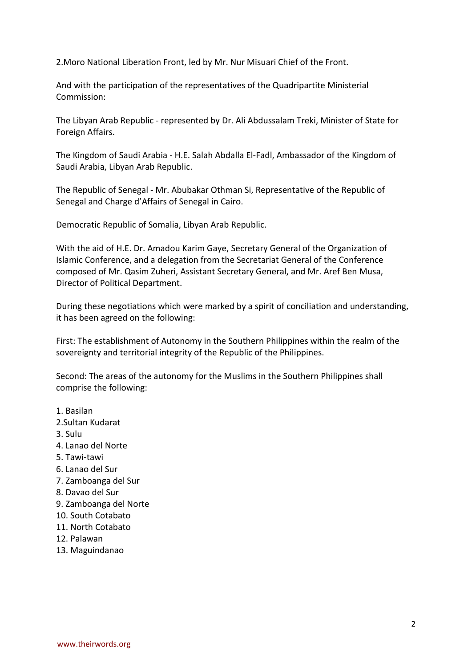2.Moro National Liberation Front, led by Mr. Nur Misuari Chief of the Front.

And with the participation of the representatives of the Quadripartite Ministerial Commission:

The Libyan Arab Republic - represented by Dr. Ali Abdussalam Treki, Minister of State for Foreign Affairs.

The Kingdom of Saudi Arabia - H.E. Salah Abdalla El-Fadl, Ambassador of the Kingdom of Saudi Arabia, Libyan Arab Republic.

The Republic of Senegal - Mr. Abubakar Othman Si, Representative of the Republic of Senegal and Charge d'Affairs of Senegal in Cairo.

Democratic Republic of Somalia, Libyan Arab Republic.

With the aid of H.E. Dr. Amadou Karim Gaye, Secretary General of the Organization of Islamic Conference, and a delegation from the Secretariat General of the Conference composed of Mr. Qasim Zuheri, Assistant Secretary General, and Mr. Aref Ben Musa, Director of Political Department.

During these negotiations which were marked by a spirit of conciliation and understanding, it has been agreed on the following:

First: The establishment of Autonomy in the Southern Philippines within the realm of the sovereignty and territorial integrity of the Republic of the Philippines.

Second: The areas of the autonomy for the Muslims in the Southern Philippines shall comprise the following:

- 1. Basilan
- 2.Sultan Kudarat
- 3. Sulu
- 4. Lanao del Norte
- 5. Tawi-tawi
- 6. Lanao del Sur
- 7. Zamboanga del Sur
- 8. Davao del Sur
- 9. Zamboanga del Norte
- 10. South Cotabato
- 11. North Cotabato
- 12. Palawan
- 13. Maguindanao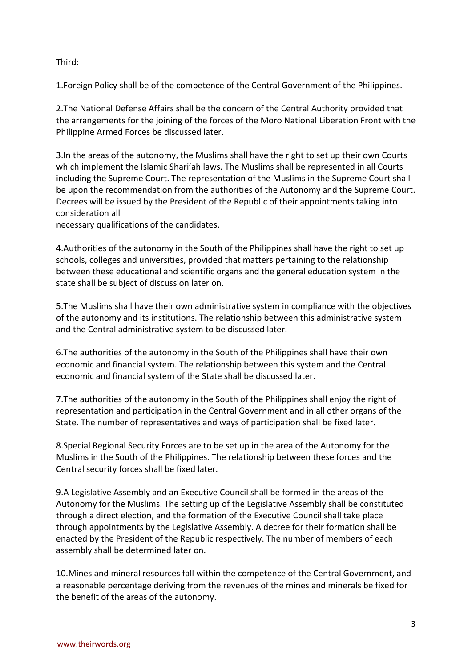## Third:

1.Foreign Policy shall be of the competence of the Central Government of the Philippines.

2.The National Defense Affairs shall be the concern of the Central Authority provided that the arrangements for the joining of the forces of the Moro National Liberation Front with the Philippine Armed Forces be discussed later.

3.In the areas of the autonomy, the Muslims shall have the right to set up their own Courts which implement the Islamic Shari'ah laws. The Muslims shall be represented in all Courts including the Supreme Court. The representation of the Muslims in the Supreme Court shall be upon the recommendation from the authorities of the Autonomy and the Supreme Court. Decrees will be issued by the President of the Republic of their appointments taking into consideration all

necessary qualifications of the candidates.

4.Authorities of the autonomy in the South of the Philippines shall have the right to set up schools, colleges and universities, provided that matters pertaining to the relationship between these educational and scientific organs and the general education system in the state shall be subject of discussion later on.

5.The Muslims shall have their own administrative system in compliance with the objectives of the autonomy and its institutions. The relationship between this administrative system and the Central administrative system to be discussed later.

6.The authorities of the autonomy in the South of the Philippines shall have their own economic and financial system. The relationship between this system and the Central economic and financial system of the State shall be discussed later.

7.The authorities of the autonomy in the South of the Philippines shall enjoy the right of representation and participation in the Central Government and in all other organs of the State. The number of representatives and ways of participation shall be fixed later.

8.Special Regional Security Forces are to be set up in the area of the Autonomy for the Muslims in the South of the Philippines. The relationship between these forces and the Central security forces shall be fixed later.

9.A Legislative Assembly and an Executive Council shall be formed in the areas of the Autonomy for the Muslims. The setting up of the Legislative Assembly shall be constituted through a direct election, and the formation of the Executive Council shall take place through appointments by the Legislative Assembly. A decree for their formation shall be enacted by the President of the Republic respectively. The number of members of each assembly shall be determined later on.

10.Mines and mineral resources fall within the competence of the Central Government, and a reasonable percentage deriving from the revenues of the mines and minerals be fixed for the benefit of the areas of the autonomy.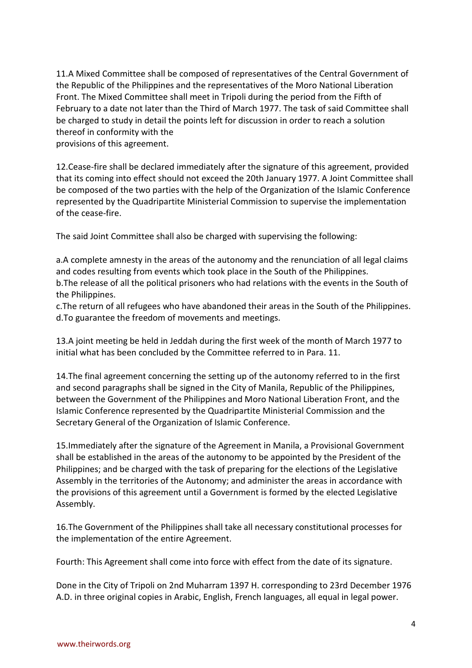11.A Mixed Committee shall be composed of representatives of the Central Government of the Republic of the Philippines and the representatives of the Moro National Liberation Front. The Mixed Committee shall meet in Tripoli during the period from the Fifth of February to a date not later than the Third of March 1977. The task of said Committee shall be charged to study in detail the points left for discussion in order to reach a solution thereof in conformity with the provisions of this agreement.

12.Cease-fire shall be declared immediately after the signature of this agreement, provided that its coming into effect should not exceed the 20th January 1977. A Joint Committee shall be composed of the two parties with the help of the Organization of the Islamic Conference represented by the Quadripartite Ministerial Commission to supervise the implementation of the cease-fire.

The said Joint Committee shall also be charged with supervising the following:

a.A complete amnesty in the areas of the autonomy and the renunciation of all legal claims and codes resulting from events which took place in the South of the Philippines.

b.The release of all the political prisoners who had relations with the events in the South of the Philippines.

c.The return of all refugees who have abandoned their areas in the South of the Philippines. d.To guarantee the freedom of movements and meetings.

13.A joint meeting be held in Jeddah during the first week of the month of March 1977 to initial what has been concluded by the Committee referred to in Para. 11.

14.The final agreement concerning the setting up of the autonomy referred to in the first and second paragraphs shall be signed in the City of Manila, Republic of the Philippines, between the Government of the Philippines and Moro National Liberation Front, and the Islamic Conference represented by the Quadripartite Ministerial Commission and the Secretary General of the Organization of Islamic Conference.

15.Immediately after the signature of the Agreement in Manila, a Provisional Government shall be established in the areas of the autonomy to be appointed by the President of the Philippines; and be charged with the task of preparing for the elections of the Legislative Assembly in the territories of the Autonomy; and administer the areas in accordance with the provisions of this agreement until a Government is formed by the elected Legislative Assembly.

16.The Government of the Philippines shall take all necessary constitutional processes for the implementation of the entire Agreement.

Fourth: This Agreement shall come into force with effect from the date of its signature.

Done in the City of Tripoli on 2nd Muharram 1397 H. corresponding to 23rd December 1976 A.D. in three original copies in Arabic, English, French languages, all equal in legal power.